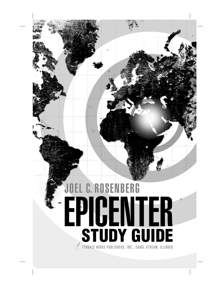# 1 TYNDALE HOUSE PUBLISHERS, INC., CAROL STREAM, ILLINOIS**STUDY GUIDE** JOEL C. ROSENBERG EPICENTER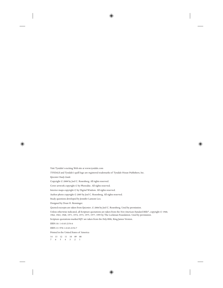Visit Tyndale's exciting Web site at www.tyndale.com

*TYNDALE* and Tyndale's quill logo are registered trademarks of Tyndale House Publishers, Inc.

*Epicenter Study Guide*

Copyright © 2008 by Joel C. Rosenberg. All rights reserved.

Cover artwork copyright © by Photodisc. All rights reserved.

Interior maps copyright © by Digital Wisdom. All rights reserved.

Author photo copyright © 2005 by Joel C. Rosenberg. All rights reserved.

Study questions developed by Jennifer Lamont Leo.

Designed by Dean H. Renninger.

Quoted excerpts are taken from *Epicenter*, © 2006 by Joel C. Rosenberg. Used by permission.

Unless otherwise indicated, all Scripture quotations are taken from the *New American Standard Bible*®, copyright © 1960, 1962, 1963, 1968, 1971, 1972, 1973, 1975, 1977, 1995 by The Lockman Foundation. Used by permission.

Scripture quotations marked KJV are taken from the *Holy Bible,* King James Version.

ISBN-10: 1-4143-2154-6

ISBN-13: 978-1-4143-2154-7

Printed in the United States of America

14 13 12 11 10 09 08 7 6 5 4 3 2 1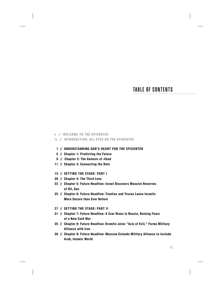## TABLE OF CONTENTS

- **v // WELCOME TO THE EPICENTER**
- **ix // INTRODUCTION: ALL EYES ON THE EPICENTER**
	- **1 // UNDERSTANDING GOD'S HEART FOR THE EPICENTER**
	- **5 // Chapter 1: Predicting the Future**
	- **8 // Chapter 2: The Genesis of Jihad**
- **11 // Chapter 3: Connecting the Dots**
- **15 // SETTING THE STAGE: PART I**
- **20 // Chapter 4: The Third Lens**
- **23 // Chapter 5: Future Headline: Israel Discovers Massive Reserves of Oil, Gas**
- **25 // Chapter 6: Future Headline: Treaties and Truces Leave Israelis More Secure than Ever Before**
- **27 // SETTING THE STAGE: PART II**
- **31 // Chapter 7: Future Headline: A Czar Rises in Russia, Raising Fears of a New Cold War**
- **35 // Chapter 8: Future Headline: Kremlin Joins "Axis of Evil," Forms Military Alliance with Iran**
- **38 // Chapter 9: Future Headline: Moscow Extends Military Alliance to Include Arab, Islamic World**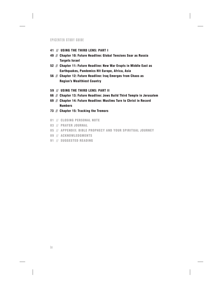- **41 // USING THE THIRD LENS: PART I**
- **49 // Chapter 10: Future Headline: Global Tensions Soar as Russia Targets Israel**
- **52 // Chapter 11: Future Headline: New War Erupts in Middle East as Earthquakes, Pandemics Hit Europe, Africa, Asia**
- **56 // Chapter 12: Future Headline: Iraq Emerges from Chaos as Region's Wealthiest Country**
- **59 // USING THE THIRD LENS: PART II**
- **66 // Chapter 13: Future Headline: Jews Build Third Temple in Jerusalem**
- **69 // Chapter 14: Future Headline: Muslims Turn to Christ in Record Numbers**
- **73 // Chapter 15: Tracking the Tremors**
- **81 // CLOSING PERSONAL NOTE**
- **83 // PRAYER JOURNAL**
- **85 // APPENDIX: BIBLE PROPHECY AND YOUR SPIRITUAL JOURNEY**
- **89 // ACKNOWLEDGMENTS**
- **91 // SUGGESTED READING**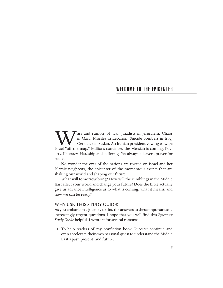## WELCOME TO THE EPICENTER

**WARGE STARK STARK STARK STARK STARK STARK STARK STARK STARK STARK STARK STARK STARK STARK STARK STARK STARK STARK STARK STARK STARK STARK STARK STARK STARK STARK STARK STARK STARK STARK STARK STARK STARK STARK STARK STARK** in Gaza. Missiles in Lebanon. Suicide bombers in Iraq. Genocide in Sudan. An Iranian president vowing to wipe erty. Illiteracy. Hardship and suffering. Yet always a fervent prayer for peace.

No wonder the eyes of the nations are riveted on Israel and her Islamic neighbors, the epicenter of the momentous events that are shaking our world and shaping our future.

What will tomorrow bring? How will the rumblings in the Middle East affect your world and change your future? Does the Bible actually give us advance intelligence as to what is coming, what it means, and how we can be ready?

### WHY USE THIS STUDY GUIDE?

As you embark on a journey to find the answers to these important and increasingly urgent questions, I hope that you will find this *Epicenter Study Guide* helpful. I wrote it for several reasons:

 1. To help readers of my nonfiction book *Epicenter* continue and even accelerate their own personal quest to understand the Middle East's past, present, and future.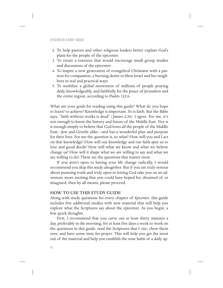- 2. To help pastors and other religious leaders better explain God's plans for the people of the epicenter.
- 3. To create a resource that would encourage small group studies and discussions of the epicenter.
- 4. To inspire a new generation of evangelical Christians with a passion for compassion, a burning desire to bless Israel and her neighbors in real and practical ways.
- 5. To mobilize a global movement of millions of people praying daily, knowledgeably, and faithfully for the peace of Jerusalem and the entire region, according to Psalm 122:6.

What are your goals for reading using this guide? What do you hope to learn? to achieve? Knowledge is important. So is faith. But the Bible says, "faith without works is dead" (James 2:26). I agree. For me, it's not enough to know the history and future of the Middle East. Nor is it enough simply to believe that God loves all the people of the Middle East—Jew and Gentile alike—and has a wonderful plan and purpose for their lives. For me the question is, so what? How will you and I act on that knowledge? How will our knowledge and our faith spur us to love and good deeds? How will what we know and what we believe change us? How will it shape what we are willing to say and what we are willing to do? These are the questions that matter most.

If you aren't open to having your life change radically, I would recommend you skip this study altogether. But if you are truly serious about pursuing truth and truly open to letting God take you on an adventure more exciting that you could have hoped for, dreamed of, or imagined, then by all means, please proceed.

### HOW TO USE THIS STUDY GUIDE

Along with study questions for every chapter of *Epicenter*, this guide includes five additional studies with new material that will help you explore what the Scriptures say about the epicenter. As you begin, a few quick thoughts.

First, I recommend that you carve out at least thirty minutes a day, preferably in the morning, for at least five days a week to work on the questions in this guide, read the Scriptures that I cite, chew them over, and have some time for prayer. This will help you get the most out of the material and help you establish the wise habit of a daily ap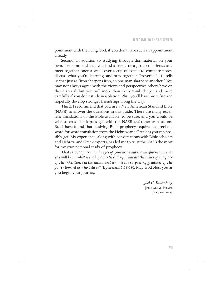pointment with the living God, if you don't have such an appointment already.

Second, in addition to studying through this material on your own, I recommend that you find a friend or a group of friends and meet together once a week over a cup of coffee to compare notes, discuss what you're learning, and pray together. Proverbs 27:17 tells us that just as "iron sharpens iron, so one man sharpens another." You may not always agree with the views and perspectives others have on this material, but you will more than likely think deeper and more carefully if you don't study in isolation. Plus, you'll have more fun and hopefully develop stronger friendships along the way.

Third, I recommend that you use a New American Standard Bible (NASB) to answer the questions in this guide. There are many excellent translations of the Bible available, to be sure, and you would be wise to cross-check passages with the NASB *and* other translations. But I have found that studying Bible prophecy requires as precise a word-for-word translation from the Hebrew and Greek as you can possibly get. My experience, along with conversations with Bible scholars and Hebrew and Greek experts, has led me to trust the NASB the most for my own personal study of prophecy.

That said, *"I pray that the eyes of your heart may be enlightened, so that you will know what is the hope of His calling, what are the riches of the glory of His inheritance in the saints, and what is the surpassing greatness of His power toward us who believe"* (Ephesians 1:18-19). May God bless you as you begin your journey.

> *Joel C. Rosenberg* Jerusalem, Israel January 2008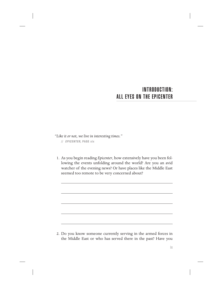## INTRODUCTION: ALL EYES ON THE EPICENTER

*"Like it or not, we live in interesting times."*

- **//** *EPICENTER,* **PAGE xix**
- 1. As you begin reading *Epicenter*, how extensively have you been following the events unfolding around the world? Are you an avid watcher of the evening news? Or have places like the Middle East seemed too remote to be very concerned about?

 2. Do you know someone currently serving in the armed forces in the Middle East or who has served there in the past? Have you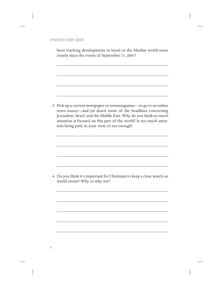been tracking developments in Israel or the Muslim world more closely since the events of September 11, 2001?

 3. Pick up a current newspaper or newsmagazine—or go to an online news source—and jot down some of the headlines concerning Jerusalem, Israel, and the Middle East. Why do you think so much attention is focused on this part of the world? Is too much attention being paid, in your view, or not enough?

 4. Do you think it's important for Christians to keep a close watch on world events? Why or why not?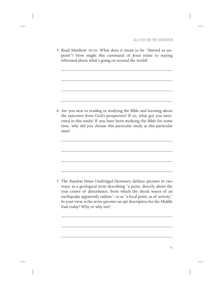5. Read Matthew 10:16. What does it mean to be "shrewd as serpents"? How might this command of Jesus relate to staying informed about what's going on around the world?

 6. Are you new to reading or studying the Bible and learning about the epicenter from God's perspective? If so, what got you interested in this study? If you have been studying the Bible for some time, why did you choose this particular study at this particular time?

 7. The *Random House Unabridged Dictionary* defines *epicenter* in two ways: as a geological term describing "a point, directly above the true center of disturbance, from which the shock waves of an earthquake apparently radiate"; or as "a focal point, as of activity." In your view, is the term *epicenter* an apt description for the Middle East today? Why or why not?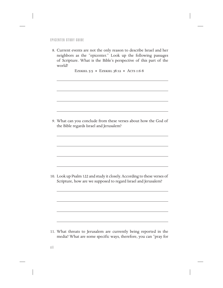8. Current events are not the only reason to describe Israel and her neighbors as the "epicenter." Look up the following passages of Scripture. What is the Bible's perspective of this part of the world?

EZEKIEL 5:5 . EZEKIEL 38:12 . ACTS 1:6-8

 9. What can you conclude from these verses about how the God of the Bible regards Israel and Jerusalem?

10. Look up Psalm 122 and study it closely. According to these verses of Scripture, how are we supposed to regard Israel and Jerusalem?

11. What threats to Jerusalem are currently being reported in the media? What are some specific ways, therefore, you can "pray for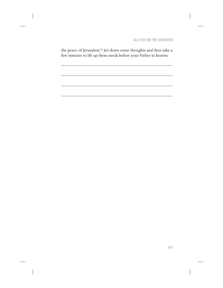the peace of Jerusalem"? Jot down some thoughts and then take a few minutes to lift up these needs before your Father in heaven.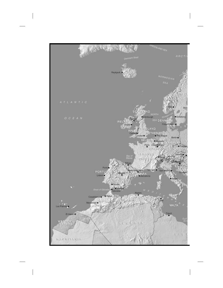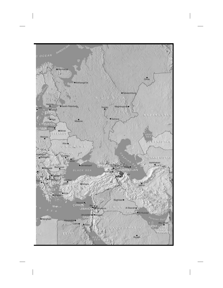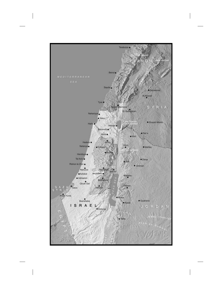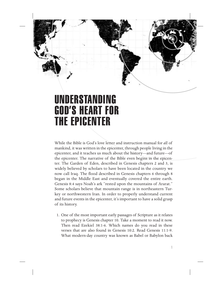## UNDERSTANDING GOD'S HEART FOR THE EPICENTER

While the Bible is God's love letter and instruction manual for *all* of mankind, it was written in the epicenter, through people living in the epicenter, and it teaches us much about the history—and future—of the epicenter. The narrative of the Bible even begins in the epicenter. The Garden of Eden, described in Genesis chapters 2 and 3, is widely believed by scholars to have been located in the country we now call Iraq. The flood described in Genesis chapters 6 through 8 began in the Middle East and eventually covered the entire earth. Genesis 8:4 says Noah's ark "rested upon the mountains of Ararat." Some scholars believe that mountain range is in northeastern Turkey or northwestern Iran. In order to properly understand current and future events in the epicenter, it's important to have a solid grasp of its history.

 1. One of the most important early passages of Scripture as it relates to prophecy is Genesis chapter 10. Take a moment to read it now. Then read Ezekiel 38:1-6. Which names do you read in these verses that are also found in Genesis 10:2. Read Genesis 11:1-9. What modern-day country was known as Babel or Babylon back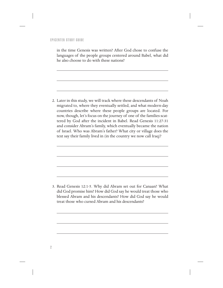in the time Genesis was written? After God chose to confuse the languages of the people groups centered around Babel, what did he also choose to do with these nations?

 2. Later in this study, we will track where these descendants of Noah migrated to, where they eventually settled, and what modern-day countries describe where these people groups are located. For now, though, let's focus on the journey of one of the families scattered by God after the incident in Babel. Read Genesis 11:27-31 and consider Abram's family, which eventually became the nation of Israel. Who was Abram's father? What city or village does the text say their family lived in (in the country we now call Iraq)?

 3. Read Genesis 12:1-5. Why did Abram set out for Canaan? What did God promise him? How did God say he would treat those who blessed Abram and his descendants? How did God say he would treat those who cursed Abram and his descendants?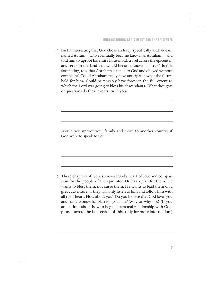4. Isn't it interesting that God chose an Iraqi (specifically, a Chaldean) named Abram—who eventually became known as Abraham—and told him to uproot his entire household, travel across the epicenter, and settle in the land that would become known as Israel? Isn't it fascinating, too, that Abraham listened to God and obeyed without complaint? Could Abraham really have anticipated what the future held for him? Could he possibly have foreseen the full extent to which the Lord was going to bless his descendants? What thoughts or questions do these events stir in you?

 5. Would you uproot your family and move to another country if God were to speak to you?

 6. These chapters of Genesis reveal God's heart of love and compassion for the people of the epicenter. He has a plan for them. He wants to bless them, not curse them. He wants to lead them on a great adventure, if they will only listen to him and follow him with all their heart. How about you? Do you believe that God loves you and has a wonderful plan for your life? Why or why not? (If you are curious about how to begin a personal relationship with God, please turn to the last section of this study for more information.)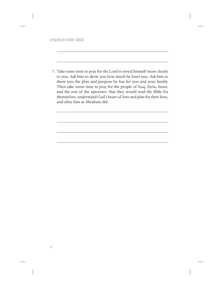7. Take some time to pray for the Lord to reveal himself more clearly to you. Ask him to show you how much he loves you. Ask him to show you the plan and purpose he has for you and your family. Then take some time to pray for the people of Iraq, Syria, Israel, and the rest of the epicenter, that they would read the Bible for themselves, understand God's heart of love and plan for their lives, and obey him as Abraham did.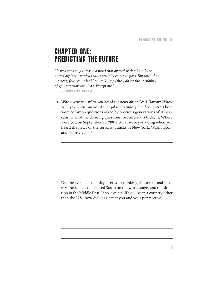## CHAPTER ONE: PREDICTING THE FUTURE

*"It was one thing to write a novel that opened with a kamikaze attack against America that essentially comes to pass. But until that moment, few people had been talking publicly about the possibility of going to war with Iraq. Except me."*

*// EPICENTER***, PAGE 4**

 1. *Where were you when you heard the news about Pearl Harbor? Where were you when you heard that John F. Kennedy had been shot?* These were common questions asked by previous generations of Americans. One of the defining questions for Americans today is, Where were you on September 11, 2001? What were you doing when you heard the news of the terrorist attacks in New York, Washington, and Pennsylvania?

 2. Did the events of that day alter your thinking about national security, the role of the United States on the world stage, and the situation in the Middle East? If so, explain. If you live in a country other than the U.S., how did 9/11 affect you and your perspective?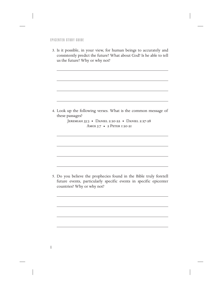3. Is it possible, in your view, for human beings to accurately and consistently predict the future? What about God? Is he able to tell us the future? Why or why not?

 4. Look up the following verses. What is the common message of these passages?

> JEREMIAH 33:3 · DANIEL 2:20-22 · DANIEL 2:27-28 AMOS 3:7 . 2 PETER 1:20-21

 5. Do you believe the prophecies found in the Bible truly foretell future events, particularly specific events in specific epicenter countries? Why or why not?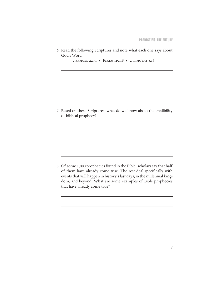6. Read the following Scriptures and note what each one says about God's Word:

2 SAMUEL 22:31 . PSALM 119:16 . 2 TIMOTHY 3:16

 7. Based on these Scriptures, what do we know about the credibility of biblical prophecy?

 8. Of some 1,000 prophecies found in the Bible, scholars say that half of them have already come true. The rest deal specifically with events that will happen in history's last days, in the millennial kingdom, and beyond. What are some examples of Bible prophecies that have already come true?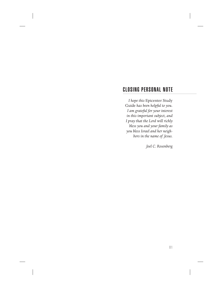## CLOSING PERSONAL NOTE

*I hope this* Epicenter Study Guide *has been helpful to you. I am grateful for your interest in this important subject, and I pray that the Lord will richly bless you and your family as you bless Israel and her neighbors in the name of Jesus.*

*Joel C. Rosenberg*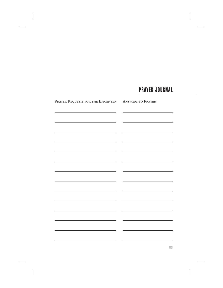## PRAYER JOURNAL

| PRAYER REQUESTS FOR THE EPICENTER ANSWERS TO PRAYER                                                                                                                                          |
|----------------------------------------------------------------------------------------------------------------------------------------------------------------------------------------------|
| <u> 1989 - Johann Barn, amerikansk politiker (d. 1989)</u><br><u> 1980 - Johann Barn, mars ann an t-Amhain an t-Amhain an t-Amhain an t-Amhain an t-Amhain an t-Amhain an t-A</u>            |
|                                                                                                                                                                                              |
| the contract of the contract of the contract of the contract of the contract of the contract of<br>the control of the control of the control of the control of the control of                |
|                                                                                                                                                                                              |
|                                                                                                                                                                                              |
|                                                                                                                                                                                              |
|                                                                                                                                                                                              |
|                                                                                                                                                                                              |
| <u> 1980 - Johann Barbara, martxa al</u>                                                                                                                                                     |
|                                                                                                                                                                                              |
|                                                                                                                                                                                              |
|                                                                                                                                                                                              |
| the contract of the contract of the contract of the contract of the contract of the contract of<br>the control of the control of the control of the control of the control of the control of |
| the control of the control of the control of the control of the control of the control of                                                                                                    |
|                                                                                                                                                                                              |
|                                                                                                                                                                                              |
|                                                                                                                                                                                              |
|                                                                                                                                                                                              |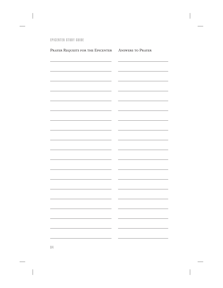| <b>EPICENTER STUDY GUIDE</b> |  |  |  |  |
|------------------------------|--|--|--|--|
|                              |  |  |  |  |

| PRAYER REQUESTS FOR THE EPICENTER | ANSWERS TO PRAYER |
|-----------------------------------|-------------------|
|                                   |                   |
|                                   |                   |
|                                   |                   |
|                                   |                   |
|                                   |                   |
|                                   |                   |
|                                   |                   |
|                                   |                   |
|                                   |                   |
|                                   |                   |
|                                   |                   |
|                                   |                   |
|                                   |                   |
|                                   |                   |
|                                   |                   |
|                                   |                   |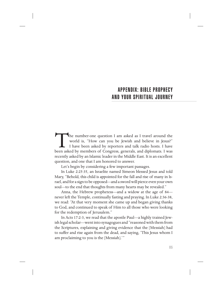## APPENDIX: BIBLE PROPHECY AND YOUR SPIRITUAL JOURNEY

The number-one question I am asked as I travel around the world is, "How can you be Jewish and believe in Jesus?" I have been asked by reporters and talk radio hosts. I have been asked by members of Congress, generals, and diplomats. I was recently asked by an Islamic leader in the Middle East. It is an excellent question, and one that I am honored to answer.

Let's begin by considering a few important passages.

In Luke 2:25-35, an Israelite named Simeon blessed Jesus and told Mary, "Behold, this child is appointed for the fall and rise of many in Israel, and for a sign to be opposed—and a sword will pierce even your own soul—to the end that thoughts from many hearts may be revealed."

Anna, the Hebrew prophetess—and a widow at the age of 84 never left the Temple, continually fasting and praying. In Luke 2:36-38, we read: "At that very moment she came up and began giving thanks to God, and continued to speak of Him to all those who were looking for the redemption of Jerusalem."

In Acts 17:2-3, we read that the apostle Paul—a highly trained Jewish legal scholar—went into synagogues and "reasoned with them from the Scriptures, explaining and giving evidence that the [Messiah] had to suffer and rise again from the dead, and saying, 'This Jesus whom I am proclaiming to you is the [Messiah].'"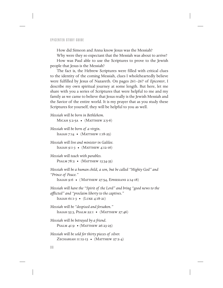How did Simeon and Anna know Jesus was the Messiah?

Why were they so expectant that the Messiah was about to arrive?

How was Paul able to use the Scriptures to prove to the Jewish people that Jesus is the Messiah?

The fact is, the Hebrew Scriptures were filled with critical clues to the identity of the coming Messiah, clues I wholeheartedly believe were fulfilled by Jesus of Nazareth. On pages 261–267 of *Epicenter*, I describe my own spiritual journey at some length. But here, let me share with you a series of Scriptures that were helpful to me and my family as we came to believe that Jesus really is the Jewish Messiah and the Savior of the entire world. It is my prayer that as you study these Scriptures for yourself, they will be helpful to you as well.

```
Messiah will be born in Bethlehem.
    MICAH 5:2-5A . (MATTHEW 2:5-6)
Messiah will be born of a virgin.
    ISAIAH 7:14 . (MATTHEW 1:18-25)
Messiah will live and minister in Galilee.
    ISAIAH 9:1-3 . (MATTHEW 4:12-16)
Messiah will teach with parables.
    PSALM 78:2 . (MATTHEW 13:34-35)
Messiah will be a human child, a son, but be called "Mighty God" and 
"Prince of Peace."
    Isaiah 9:6 . ( Matthew 27:54, Ephesians 2:14-18)
Messiah will have the "Spirit of the Lord" and bring "good news to the 
afflicted" and "proclaim liberty to the captives."
    ISAIAH 61:1-3 . (LUKE 4:18-21)
Messiah will be "despised and forsaken."
    ISAIAH 53:3, PSALM 22:1 . (MATTHEW 27:46)
Messiah will be betrayed by a friend.
    PSALM 41:9 . (MATTHEW 26:23-25)
Messiah will be sold for thirty pieces of silver.
    ZECHARIAH II:12-13 \bullet (MATTHEW 27:2-4)
```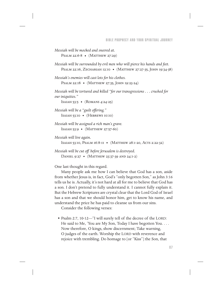*Messiah will be mocked and sneered at.*

PSALM 22:6-8 . (MATTHEW 27:29)

*Messiah will be surrounded by evil men who will pierce his hands and feet.* PSALM 22:16, ZECHARIAH 12:10 . (MATTHEW 27:27-35, JOHN 19:34-38)

*Messiah's enemies will cast lots for his clothes.* PSALM 22:18 . (MATTHEW 27:35, JOHN 19:23-24)

*Messiah will be tortured and killed "for our transgressions . . . crushed for our iniquities."*

Isaiah 53:5 . (Romans 4:24-25)

*Messiah will be a "guilt offering."* ISAIAH 53:10 · (HEBREWS 10:10)

*Messiah will be assigned a rich man's grave.* ISAIAH 53:9 . (MATTHEW 27:57-60)

*Messiah will live again.*

ISAIAH 53:10, PSALM 16:8-11 . (MATTHEW 28:1-20, ACTS 2:22-32)

*Messiah will be cut off before Jerusalem is destroyed.* DANIEL 9:27 . (MATTHEW 23:37-39 AND 24:1-2)

One last thought in this regard.

Many people ask me how I can believe that God has a son, aside from whether Jesus is, in fact, God's "only begotten Son," as John 3:16 tells us he is. Actually, it's not hard at all for me to believe that God has a son. I don't pretend to fully understand it. I cannot fully explain it. But the Hebrew Scriptures are crystal clear that the Lord God of Israel has a son and that we should honor him, get to know his name, and understand the price he has paid to cleanse us from our sins.

Consider the following verses:

Psalm 2:7, 10-12—"I will surely tell of the decree of the LORD: •He said to Me, 'You are My Son, Today I have begotten You. . . . Now therefore, O kings, show discernment; Take warning, O judges of the earth. Worship the LORD with reverence and rejoice with trembling. Do homage to [or "Kiss"] the Son, that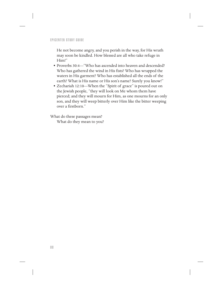He not become angry, and you perish in the way, for His wrath may soon be kindled. How blessed are all who take refuge in Him!"

- Proverbs 30:4—"Who has ascended into heaven and descended? Who has gathered the wind in His fists? Who has wrapped the waters in His garment? Who has established all the ends of the earth? What is His name or His son's name? Surely you know!"
- Zechariah 12:10-When the "Spirit of grace" is poured out on the Jewish people, "they will look on Me whom them have pierced; and they will mourn for Him, as one mourns for an only son, and they will weep bitterly over Him like the bitter weeping over a firstborn."

What do these passages mean? What do they mean to you?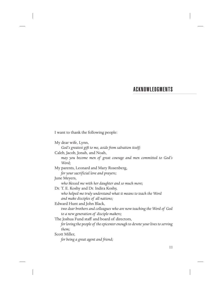## ACKNOWLEDGMENTS

I want to thank the following people:

My dear wife, Lynn, *God's greatest gift to me, aside from salvation itself;* Caleb, Jacob, Jonah, and Noah, *may you become men of great courage and men committed to God's Word;* My parents, Leonard and Mary Rosenberg, *for your sacrificial love and prayers;* June Meyers, *who blessed me with her daughter and so much more;* Dr. T. E. Koshy and Dr. Indira Koshy, *who helped me truly understand what it means to teach the Word and make disciples of all nations;* Edward Hunt and John Black, *two dear brothers and colleagues who are now teaching the Word of God to a new generation of disciple-makers;* The Joshua Fund staff and board of directors, *for loving the people of the epicenter enough to devote your lives to serving them;* Scott Miller, *for being a great agent and friend;*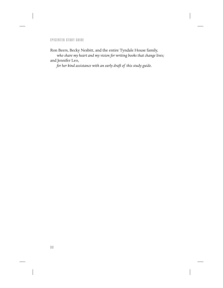Ron Beers, Becky Nesbitt, and the entire Tyndale House family, *who share my heart and my vision for writing books that change lives;* and Jennifer Leo,

*for her kind assistance with an early draft of this study guide.*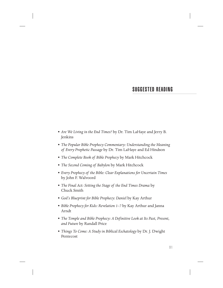## SUGGESTED READING

- *Are We Living in the End Times?* by Dr. Tim LaHaye and Jerry B. Jenkins
- *The Popular Bible Prophecy Commentary: Understanding the Meaning of Every Prophetic Passage* by Dr. Tim LaHaye and Ed Hindson
- *The Complete Book of Bible Prophecy* by Mark Hitchcock •
- *The Second Coming of Babylon* by Mark Hitchcock •
- *Every Prophecy of the Bible: Clear Explanations for Uncertain Times* by John F. Walvoord
- *The Final Act: Setting the Stage of the End Times Drama* by Chuck Smith
- *God's Blueprint for Bible Prophecy: Daniel* by Kay Arthur •
- *Bible Prophecy for Kids: Revelation 1–7* by Kay Arthur and Janna Arndt
- *The Temple and Bible Prophecy: A Definitive Look at Its Past, Present, and Future* by Randall Price
- *Things To Come: A Study in Biblical Eschatology* by Dr. J. Dwight •Pentecost